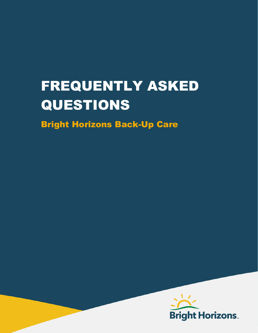# FREQUENTLY ASKED QUESTIONS

Bright Horizons Back-Up Care

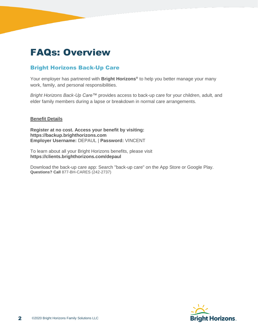### FAQs: Overview

#### Bright Horizons Back-Up Care

Your employer has partnered with **Bright Horizons®** to help you better manage your many work, family, and personal responsibilities.

*Bright Horizons Back-Up Care™* provides access to back-up care for your children, adult, and elder family members during a lapse or breakdown in normal care arrangements.

#### **Benefit Details**

**Register at no cost. Access your benefit by visiting: https://backup.brighthorizons.com Employer Username:** DEPAUL | **Password:** VINCENT

To learn about all your Bright Horizons benefits, please visit **https://clients.brighthorizons.com/depaul**

Download the back-up care app: Search "back-up care" on the App Store or Google Play. **Questions? Call** 877-BH-CARES (242-2737)

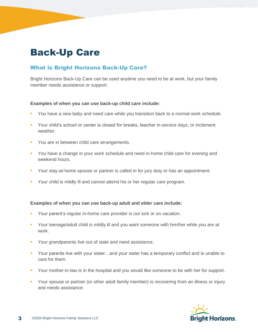## Back-Up Care

#### What is Bright Horizons Back-Up Care?

Bright Horizons Back-Up Care can be used anytime you need to be at work, but your family member needs assistance or support.

#### **Examples of when you can use back-up child care include:**

- You have a new baby and need care while you transition back to a normal work schedule.
- Your child's school or center is closed for breaks, teacher in-service days, or inclement weather.
- You are in between child care arrangements.
- You have a change in your work schedule and need in-home child care for evening and weekend hours.
- Your stay-at-home spouse or partner is called in for jury duty or has an appointment.
- Your child is mildly ill and cannot attend his or her regular care program.

#### **Examples of when you can use back-up adult and elder care include:**

- Your parent's regular in-home care provider is out sick or on vacation.
- Your teenage/adult child is mildly ill and you want someone with him/her while you are at work.
- Your grandparents live out of state and need assistance.
- **•** Your parents live with your sister…and your sister has a temporary conflict and is unable to care for them.
- Your mother-in-law is in the hospital and you would like someone to be with her for support.
- **Your spouse or partner (or other adult family member) is recovering from an illness or injury** and needs assistance.

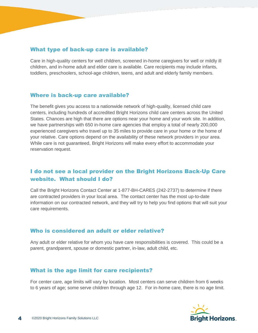#### What type of back-up care is available?

Care in high-quality centers for well children, screened in-home caregivers for well or mildly ill children, and in-home adult and elder care is available. Care recipients may include infants, toddlers, preschoolers, school-age children, teens, and adult and elderly family members.

#### Where is back-up care available?

The benefit gives you access to a nationwide network of high-quality, licensed child care centers, including hundreds of accredited Bright Horizons child care centers across the United States. Chances are high that there are options near your home and your work site. In addition, we have partnerships with 650 in-home care agencies that employ a total of nearly 200,000 experienced caregivers who travel up to 35 miles to provide care in your home or the home of your relative. Care options depend on the availability of these network providers in your area. While care is not guaranteed, Bright Horizons will make every effort to accommodate your reservation request.

#### I do not see a local provider on the Bright Horizons Back-Up Care website. What should I do?

Call the Bright Horizons Contact Center at 1-877-BH-CARES (242-2737) to determine if there are contracted providers in your local area. The contact center has the most up-to-date information on our contracted network, and they will try to help you find options that will suit your care requirements.

#### Who is considered an adult or elder relative?

Any adult or elder relative for whom you have care responsibilities is covered. This could be a parent, grandparent, spouse or domestic partner, in-law, adult child, etc.

#### What is the age limit for care recipients?

For center care, age limits will vary by location. Most centers can serve children from 6 weeks to 6 years of age; some serve children through age 12. For in-home care, there is no age limit.

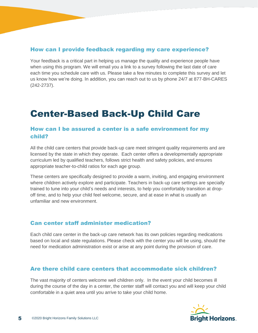#### How can I provide feedback regarding my care experience?

Your feedback is a critical part in helping us manage the quality and experience people have when using this program. We will email you a link to a survey following the last date of care each time you schedule care with us. Please take a few minutes to complete this survey and let us know how we're doing. In addition, you can reach out to us by phone 24/7 at 877-BH-CARES (242-2737).

## Center-Based Back-Up Child Care

#### How can I be assured a center is a safe environment for my child?

All the child care centers that provide back-up care meet stringent quality requirements and are licensed by the state in which they operate. Each center offers a developmentally appropriate curriculum led by qualified teachers, follows strict health and safety policies, and ensures appropriate teacher-to-child ratios for each age group.

These centers are specifically designed to provide a warm, inviting, and engaging environment where children actively explore and participate. Teachers in back-up care settings are specially trained to tune into your child's needs and interests, to help you comfortably transition at dropoff time, and to help your child feel welcome, secure, and at ease in what is usually an unfamiliar and new environment.

#### Can center staff administer medication?

Each child care center in the back-up care network has its own policies regarding medications based on local and state regulations. Please check with the center you will be using, should the need for medication administration exist or arise at any point during the provision of care.

#### Are there child care centers that accommodate sick children?

The vast majority of centers welcome well children only. In the event your child becomes ill during the course of the day in a center, the center staff will contact you and will keep your child comfortable in a quiet area until you arrive to take your child home.

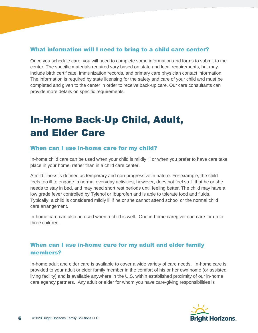#### What information will I need to bring to a child care center?

Once you schedule care, you will need to complete some information and forms to submit to the center. The specific materials required vary based on state and local requirements, but may include birth certificate, immunization records, and primary care physician contact information. The information is required by state licensing for the safety and care of your child and must be completed and given to the center in order to receive back-up care. Our care consultants can provide more details on specific requirements.

# In-Home Back-Up Child, Adult, and Elder Care

#### When can I use in-home care for my child?

In-home child care can be used when your child is mildly ill or when you prefer to have care take place in your home, rather than in a child care center.

A mild illness is defined as temporary and non-progressive in nature. For example, the child feels too ill to engage in normal everyday activities; however, does not feel so ill that he or she needs to stay in bed, and may need short rest periods until feeling better. The child may have a low grade fever controlled by Tylenol or Ibuprofen and is able to tolerate food and fluids. Typically, a child is considered mildly ill if he or she cannot attend school or the normal child care arrangement.

In-home care can also be used when a child is well. One in-home caregiver can care for up to three children.

#### When can I use in-home care for my adult and elder family members?

In-home adult and elder care is available to cover a wide variety of care needs. In-home care is provided to your adult or elder family member in the comfort of his or her own home (or assisted living facility) and is available anywhere in the U.S. within established proximity of our in-home care agency partners. Any adult or elder for whom you have care-giving responsibilities is

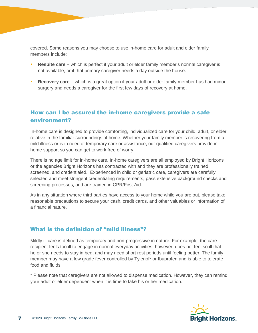covered. Some reasons you may choose to use in-home care for adult and elder family members include:

- **Respite care –** which is perfect if your adult or elder family member's normal caregiver is not available, or if that primary caregiver needs a day outside the house.
- **Recovery care** which is a great option if your adult or elder family member has had minor surgery and needs a caregiver for the first few days of recovery at home.

#### How can I be assured the in-home caregivers provide a safe environment?

In-home care is designed to provide comforting, individualized care for your child, adult, or elder relative in the familiar surroundings of home. Whether your family member is recovering from a mild illness or is in need of temporary care or assistance, our qualified caregivers provide inhome support so you can get to work free of worry.

There is no age limit for in-home care. In-home caregivers are all employed by Bright Horizons or the agencies Bright Horizons has contracted with and they are professionally trained, screened, and credentialed. Experienced in child or geriatric care, caregivers are carefully selected and meet stringent credentialing requirements, pass extensive background checks and screening processes, and are trained in CPR/First Aid.

As in any situation where third parties have access to your home while you are out, please take reasonable precautions to secure your cash, credit cards, and other valuables or information of a financial nature.

#### What is the definition of "mild illness"?

Mildly ill care is defined as temporary and non-progressive in nature. For example, the care recipient feels too ill to engage in normal everyday activities; however, does not feel so ill that he or she needs to stay in bed, and may need short rest periods until feeling better. The family member may have a low grade fever controlled by Tylenol\* or Ibuprofen and is able to tolerate food and fluids.

\* Please note that caregivers are not allowed to dispense medication. However, they can remind your adult or elder dependent when it is time to take his or her medication.

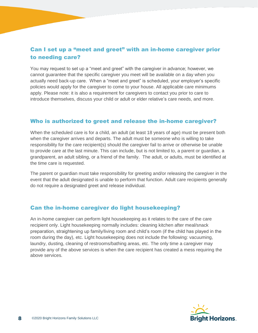#### Can I set up a "meet and greet" with an in-home caregiver prior to needing care?

You may request to set up a "meet and greet" with the caregiver in advance; however, we cannot guarantee that the specific caregiver you meet will be available on a day when you actually need back-up care. When a "meet and greet" is scheduled, your employer's specific policies would apply for the caregiver to come to your house. All applicable care minimums apply. Please note: it is also a requirement for caregivers to contact you prior to care to introduce themselves, discuss your child or adult or elder relative's care needs, and more.

#### Who is authorized to greet and release the in-home caregiver?

When the scheduled care is for a child, an adult (at least 18 years of age) must be present both when the caregiver arrives and departs. The adult must be someone who is willing to take responsibility for the care recipient(s) should the caregiver fail to arrive or otherwise be unable to provide care at the last minute. This can include, but is not limited to, a parent or guardian, a grandparent, an adult sibling, or a friend of the family. The adult, or adults, must be identified at the time care is requested.

The parent or guardian must take responsibility for greeting and/or releasing the caregiver in the event that the adult designated is unable to perform that function. Adult care recipients generally do not require a designated greet and release individual.

#### Can the in-home caregiver do light housekeeping?

An in-home caregiver can perform light housekeeping as it relates to the care of the care recipient only. Light housekeeping normally includes: cleaning kitchen after meal/snack preparation, straightening up family/living room and child's room (if the child has played in the room during the day), etc. Light housekeeping does not include the following: vacuuming, laundry, dusting, cleaning of restrooms/bathing areas, etc. The only time a caregiver may provide any of the above services is when the care recipient has created a mess requiring the above services.

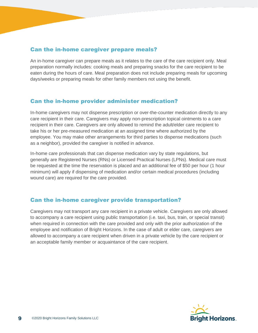#### Can the in-home caregiver prepare meals?

An in-home caregiver can prepare meals as it relates to the care of the care recipient only. Meal preparation normally includes: cooking meals and preparing snacks for the care recipient to be eaten during the hours of care. Meal preparation does not include preparing meals for upcoming days/weeks or preparing meals for other family members not using the benefit.

#### Can the in-home provider administer medication?

In-home caregivers may not dispense prescription or over-the-counter medication directly to any care recipient in their care. Caregivers may apply non-prescription topical ointments to a care recipient in their care. Caregivers are only allowed to remind the adult/elder care recipient to take his or her pre-measured medication at an assigned time where authorized by the employee. You may make other arrangements for third parties to dispense medications (such as a neighbor), provided the caregiver is notified in advance.

In-home care professionals that can dispense medication vary by state regulations, but generally are Registered Nurses (RNs) or Licensed Practical Nurses (LPNs). Medical care must be requested at the time the reservation is placed and an additional fee of \$50 per hour (1 hour minimum) will apply if dispensing of medication and/or certain medical procedures (including wound care) are required for the care provided.

#### Can the in-home caregiver provide transportation?

Caregivers may not transport any care recipient in a private vehicle. Caregivers are only allowed to accompany a care recipient using public transportation (i.e. taxi, bus, train, or special transit) when required in connection with the care provided and only with the prior authorization of the employee and notification of Bright Horizons. In the case of adult or elder care, caregivers are allowed to accompany a care recipient when driven in a private vehicle by the care recipient or an acceptable family member or acquaintance of the care recipient.

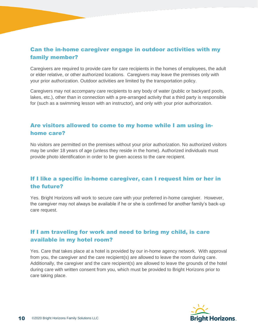#### Can the in-home caregiver engage in outdoor activities with my family member?

Caregivers are required to provide care for care recipients in the homes of employees, the adult or elder relative, or other authorized locations. Caregivers may leave the premises only with your prior authorization. Outdoor activities are limited by the transportation policy.

Caregivers may not accompany care recipients to any body of water (public or backyard pools, lakes, etc.), other than in connection with a pre-arranged activity that a third party is responsible for (such as a swimming lesson with an instructor), and only with your prior authorization.

#### Are visitors allowed to come to my home while I am using inhome care?

No visitors are permitted on the premises without your prior authorization. No authorized visitors may be under 18 years of age (unless they reside in the home). Authorized individuals must provide photo identification in order to be given access to the care recipient.

#### If I like a specific in-home caregiver, can I request him or her in the future?

Yes. Bright Horizons will work to secure care with your preferred in-home caregiver. However, the caregiver may not always be available if he or she is confirmed for another family's back-up care request.

#### If I am traveling for work and need to bring my child, is care available in my hotel room?

Yes. Care that takes place at a hotel is provided by our in-home agency network. With approval from you, the caregiver and the care recipient(s) are allowed to leave the room during care. Additionally, the caregiver and the care recipient(s) are allowed to leave the grounds of the hotel during care with written consent from you, which must be provided to Bright Horizons prior to care taking place.

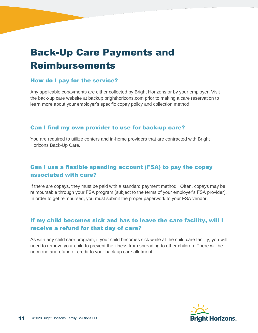# Back-Up Care Payments and Reimbursements

#### How do I pay for the service?

Any applicable copayments are either collected by Bright Horizons or by your employer. Visit the back-up care website at backup.brighthorizons.com prior to making a care reservation to learn more about your employer's specific copay policy and collection method.

#### Can I find my own provider to use for back-up care?

You are required to utilize centers and in-home providers that are contracted with Bright Horizons Back-Up Care.

#### Can I use a flexible spending account (FSA) to pay the copay associated with care?

If there are copays, they must be paid with a standard payment method. Often, copays may be reimbursable through your FSA program (subject to the terms of your employer's FSA provider). In order to get reimbursed, you must submit the proper paperwork to your FSA vendor.

#### If my child becomes sick and has to leave the care facility, will I receive a refund for that day of care?

As with any child care program, if your child becomes sick while at the child care facility, you will need to remove your child to prevent the illness from spreading to other children. There will be no monetary refund or credit to your back-up care allotment.

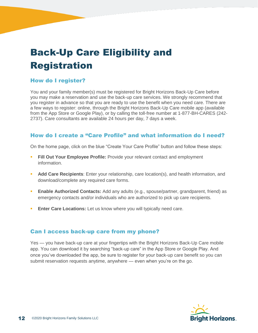# Back-Up Care Eligibility and Registration

#### How do I register?

You and your family member(s) must be registered for Bright Horizons Back-Up Care before you may make a reservation and use the back-up care services. We strongly recommend that you register in advance so that you are ready to use the benefit when you need care. There are a few ways to register: online, through the Bright Horizons Back-Up Care mobile app (available from the App Store or Google Play), or by calling the toll-free number at 1-877-BH-CARES (242- 2737). Care consultants are available 24 hours per day, 7 days a week.

#### How do I create a "Care Profile" and what information do I need?

On the home page, click on the blue "Create Your Care Profile" button and follow these steps:

- **Fill Out Your Employee Profile:** Provide your relevant contact and employment information.
- **Add Care Recipients**: Enter your relationship, care location(s), and health information, and download/complete any required care forms.
- **Enable Authorized Contacts:** Add any adults (e.g., spouse/partner, grandparent, friend) as emergency contacts and/or individuals who are authorized to pick up care recipients.
- **Enter Care Locations:** Let us know where you will typically need care.

#### Can I access back-up care from my phone?

Yes — you have back-up care at your fingertips with the Bright Horizons Back-Up Care mobile app. You can download it by searching "back-up care" in the App Store or Google Play. And once you've downloaded the app, be sure to register for your back-up care benefit so you can submit reservation requests anytime, anywhere — even when you're on the go.

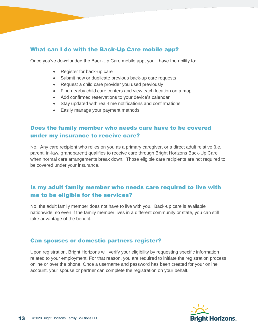#### What can I do with the Back-Up Care mobile app?

Once you've downloaded the Back-Up Care mobile app, you'll have the ability to:

- Register for back-up care
- Submit new or duplicate previous back-up care requests
- Request a child care provider you used previously
- Find nearby child care centers and view each location on a map
- Add confirmed reservations to your device's calendar
- Stay updated with real-time notifications and confirmations
- Easily manage your payment methods

#### Does the family member who needs care have to be covered under my insurance to receive care?

No. Any care recipient who relies on you as a primary caregiver, or a direct adult relative (i.e. parent, in-law, grandparent) qualifies to receive care through Bright Horizons Back-Up Care when normal care arrangements break down. Those eligible care recipients are not required to be covered under your insurance.

#### Is my adult family member who needs care required to live with me to be eligible for the services?

No, the adult family member does not have to live with you. Back-up care is available nationwide, so even if the family member lives in a different community or state, you can still take advantage of the benefit.

#### Can spouses or domestic partners register?

Upon registration, Bright Horizons will verify your eligibility by requesting specific information related to your employment. For that reason, you are required to initiate the registration process online or over the phone. Once a username and password has been created for your online account, your spouse or partner can complete the registration on your behalf.

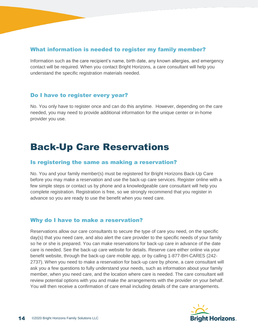#### What information is needed to register my family member?

Information such as the care recipient's name, birth date, any known allergies, and emergency contact will be required. When you contact Bright Horizons, a care consultant will help you understand the specific registration materials needed.

#### Do I have to register every year?

No. You only have to register once and can do this anytime. However, depending on the care needed, you may need to provide additional information for the unique center or in-home provider you use.

### Back-Up Care Reservations

#### Is registering the same as making a reservation?

No. You and your family member(s) must be registered for Bright Horizons Back-Up Care before you may make a reservation and use the back-up care services. Register online with a few simple steps or contact us by phone and a knowledgeable care consultant will help you complete registration. Registration is free, so we strongly recommend that you register in advance so you are ready to use the benefit when you need care.

#### Why do I have to make a reservation?

Reservations allow our care consultants to secure the type of care you need, on the specific day(s) that you need care, and also alert the care provider to the specific needs of your family so he or she is prepared. You can make reservations for back-up care in advance of the date care is needed. See the back-up care website for details. Reserve care either online via your benefit website, through the back-up care mobile app, or by calling 1-877-BH-CARES (242- 2737). When you need to make a reservation for back-up care by phone, a care consultant will ask you a few questions to fully understand your needs, such as information about your family member, when you need care, and the location where care is needed. The care consultant will review potential options with you and make the arrangements with the provider on your behalf. You will then receive a confirmation of care email including details of the care arrangements.